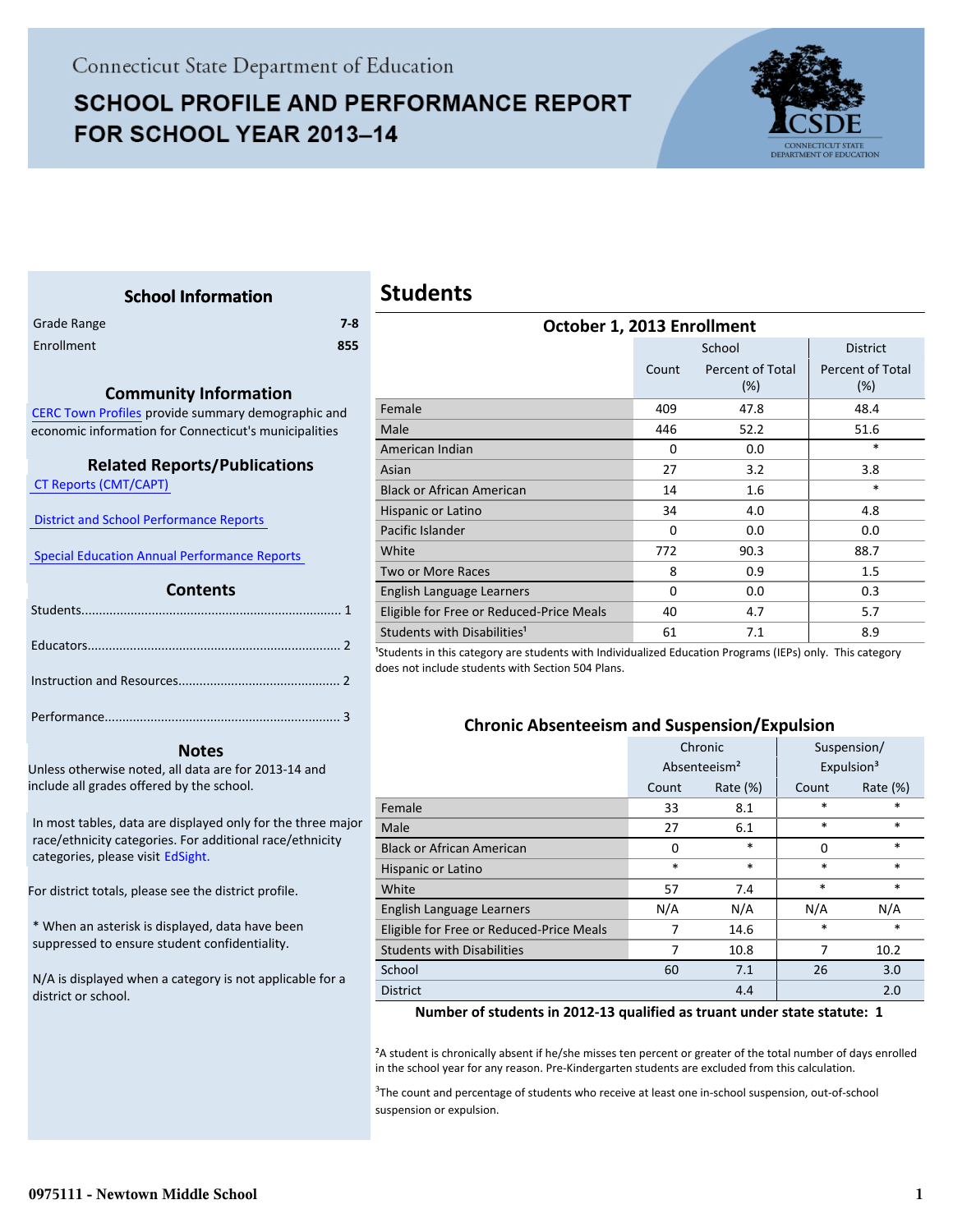# **SCHOOL PROFILE AND PERFORMANCE REPORT** FOR SCHOOL YEAR 2013-14



#### <span id="page-0-0"></span>**School Information** Grade Range **7-8** Enrollment **855 Community Information** [CERC Town Profiles provide summary demographic and](http://www.cerc.com/townprofiles/) economic information for Connecticut's municipalities  **Related Reports/Publications**  [CT Reports \(CMT/CAPT\)](http://ctreports.com/)   [District and School Performance Reports](http://www.csde.state.ct.us/public/performancereports/reports.asp)   [Special Education Annual Performance Reports](http://sdeportal.ct.gov/Cedar/WEB/ResearchandReports/AnnualPerformanceReport.aspx)   **Contents**  [Students.......................................................................... 1](#page-0-0) . Educators........................................................................ 2 . Instruction and Resources.............................................. 2 . Performance................................................................... 3 . **Students October 1, 2013 Enrollment** School District Count Percent of Total (%) (%) Female 409 47.8 48.4 Male 52.2 51.6 American Indian **1988 1988 1988 1988 1988 1988 1988 1988 1988 1988 1988 1988 1988 1988 1988** Asian 27 3.2 3.8 Black or African American 14 1.6 to the state of the state of the state of the state of the state of the state  $*$ Hispanic or Latino 1.1 and 1.8 and 1.8 and 1.8 and 1.8 and 1.8 and 1.8 and 1.8 and 1.8 and 1.8 and 1.8 and 1.8 Pacific Islander **0** 0.0 0.0 0.0 0.0 0.0 White 20.3 88.7 Two or More Races 8 1.5 English Language Learners 1 0 0.0 0.3 Eligible for Free or Reduced-Price Meals  $\begin{array}{ccc} 40 & 4.7 & | & 5.7 \end{array}$ Students with Disabilities<sup>1</sup>  $61$   $7.1$   $8.9$ <sup>1</sup>Students in this category are students with Individualized Education Programs (IEPs) only. This category does not include students with Section 504 Plans.

#### **Notes**

Unless otherwise noted, all data are for 2013-14 and include all grades offered by the school.

[In most tables, data are displayed only for the three major](http://edsight.ct.gov) race/ethnicity categories. For additional race/ethnicity categories, please visit EdSight.

For district totals, please see the district profile.

\* When an asterisk is displayed, data have been suppressed to ensure student confidentiality.

N/A is displayed when a category is not applicable for a district or school.

|                                          |          | School                     | <b>District</b>            |
|------------------------------------------|----------|----------------------------|----------------------------|
|                                          | Count    | Percent of Total<br>$(\%)$ | Percent of Total<br>$(\%)$ |
|                                          |          |                            |                            |
| Female                                   | 409      | 47.8                       | 48.4                       |
| Male                                     | 446      | 52.2                       | 51.6                       |
| American Indian                          | $\Omega$ | 0.0                        | $\ast$                     |
| Asian                                    | 27       | 3.2                        | 3.8                        |
| <b>Black or African American</b>         | 14       | 1.6                        | $\ast$                     |
| Hispanic or Latino                       | 34       | 4.0                        | 4.8                        |
| Pacific Islander                         | $\Omega$ | 0.0                        | 0.0                        |
| White                                    | 772      | 90.3                       | 88.7                       |
| Two or More Races                        | 8        | 0.9                        | 1.5                        |
| English Language Learners                | $\Omega$ | 0.0                        | 0.3                        |
| Eligible for Free or Reduced-Price Meals | 40       | 4.7                        | 5.7                        |
| Students with Disabilities <sup>1</sup>  | 61       | 7.1                        | 8.9                        |
|                                          |          |                            |                            |

#### **Chronic Absenteeism and Suspension/Expulsion**

|                                          | Chronic                  |          | Suspension/            |             |
|------------------------------------------|--------------------------|----------|------------------------|-------------|
|                                          | Absenteeism <sup>2</sup> |          | Expulsion <sup>3</sup> |             |
|                                          | Count                    | Rate (%) | Count                  | Rate $(\%)$ |
| Female                                   | 33                       | 8.1      | $\ast$                 | $\ast$      |
| Male                                     | 27                       | 6.1      | $\ast$                 | $\ast$      |
| <b>Black or African American</b>         | 0                        | $\ast$   | 0                      | $\ast$      |
| Hispanic or Latino                       | $\ast$                   | $\ast$   |                        | $\ast$      |
| White                                    | 57                       | 7.4      | $\ast$                 | $\ast$      |
| English Language Learners                | N/A                      | N/A      | N/A                    | N/A         |
| Eligible for Free or Reduced-Price Meals | 7                        | 14.6     | $\ast$                 | $\ast$      |
| <b>Students with Disabilities</b>        | 7<br>10.8                |          | 7                      | 10.2        |
| School                                   | 60                       | 7.1      | 26                     | 3.0         |
| <b>District</b>                          |                          | 4.4      |                        | 2.0         |

#### **Number of students in 2012-13 qualified as truant under state statute: 1**

²A student is chronically absent if he/she misses ten percent or greater of the total number of days enrolled in the school year for any reason. Pre-Kindergarten students are excluded from this calculation.

<sup>3</sup>The count and percentage of students who receive at least one in-school suspension, out-of-school suspension or expulsion.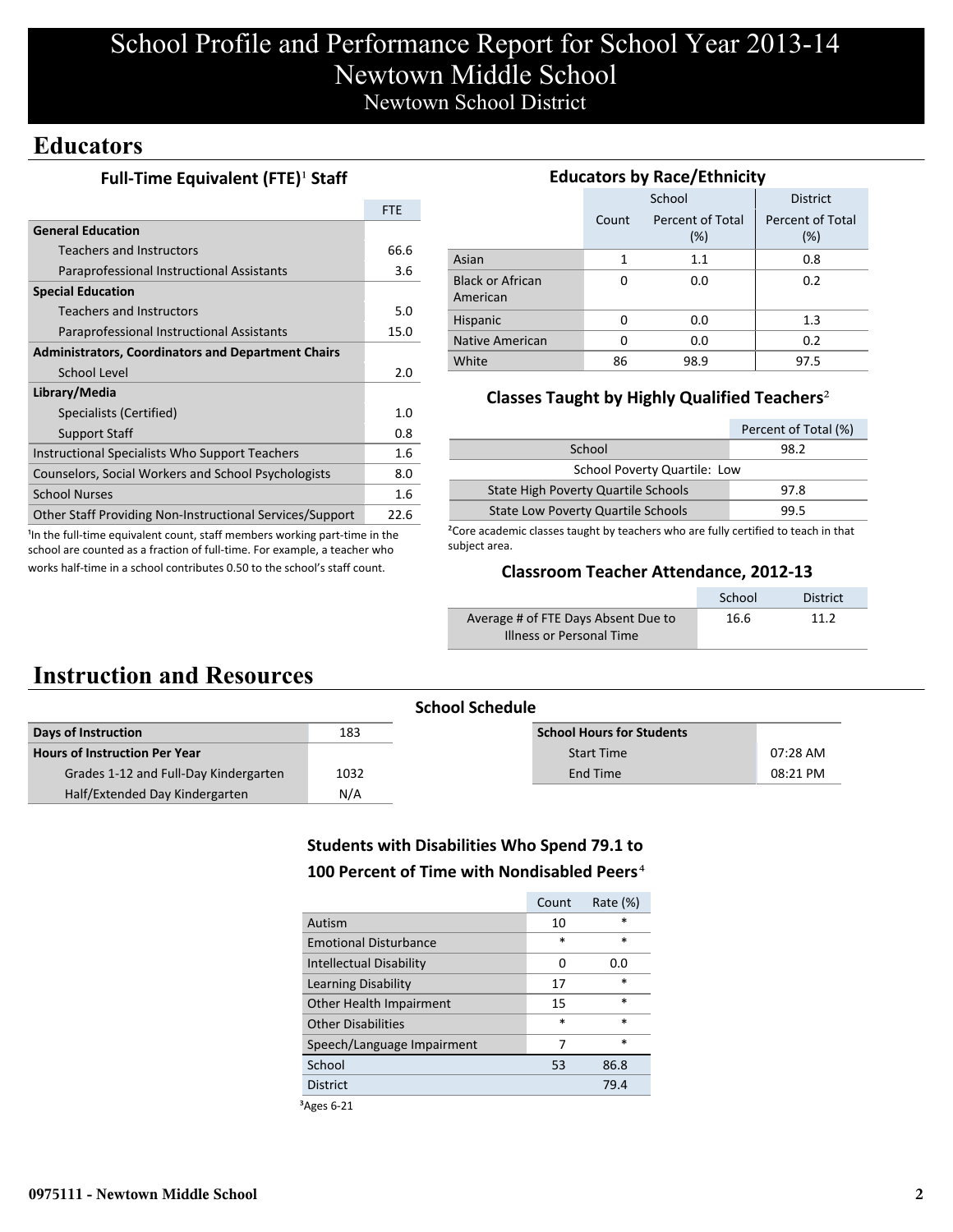# School Profile and Performance Report for School Year 2013-14 Newtown Middle School Newtown School District

## **Educators**

#### **Full-Time Equivalent (FTE)<sup>1</sup> Staff**

|                                                           | FTE  |
|-----------------------------------------------------------|------|
| <b>General Education</b>                                  |      |
| Teachers and Instructors                                  | 66.6 |
| Paraprofessional Instructional Assistants                 | 3.6  |
| <b>Special Education</b>                                  |      |
| <b>Teachers and Instructors</b>                           | 5.0  |
| Paraprofessional Instructional Assistants                 | 15.0 |
| <b>Administrators, Coordinators and Department Chairs</b> |      |
| School Level                                              | 2.0  |
| Library/Media                                             |      |
| Specialists (Certified)                                   | 1.0  |
| <b>Support Staff</b>                                      | 0.8  |
| Instructional Specialists Who Support Teachers            | 1.6  |
| Counselors, Social Workers and School Psychologists       | 8.0  |
| <b>School Nurses</b>                                      | 1.6  |
| Other Staff Providing Non-Instructional Services/Support  | 22.6 |

<sup>1</sup>In the full-time equivalent count, staff members working part-time in the school are counted as a fraction of full-time. For example, a teacher who works half-time in a school contributes 0.50 to the school's staff count.

### **Educators by Race/Ethnicity**

|       | School                     | <b>District</b>         |  |  |
|-------|----------------------------|-------------------------|--|--|
| Count | Percent of Total<br>$(\%)$ | Percent of Total<br>(%) |  |  |
| 1     | 1.1                        | 0.8                     |  |  |
| O     | 0.0                        | 0.2                     |  |  |
| O     | 0.0                        | 1.3                     |  |  |
| ŋ     | 0.0                        | 0.2                     |  |  |
| 86    | 98.9                       | 97.5                    |  |  |
|       |                            |                         |  |  |

### **Classes Taught by Highly Qualified Teachers**²

|                                           | Percent of Total (%) |
|-------------------------------------------|----------------------|
| School                                    | 98.2                 |
| School Poverty Quartile: Low              |                      |
| State High Poverty Quartile Schools       | 97.8                 |
| <b>State Low Poverty Quartile Schools</b> | 99.5                 |

²Core academic classes taught by teachers who are fully certified to teach in that subject area.

#### **Classroom Teacher Attendance, 2012-13**

|                                     | School | <b>District</b> |
|-------------------------------------|--------|-----------------|
| Average # of FTE Days Absent Due to | 16.6   | 11 2            |
| Illness or Personal Time            |        |                 |

## **Instruction and Resources**

| <b>School Schedule</b>                |      |                                  |          |  |  |
|---------------------------------------|------|----------------------------------|----------|--|--|
| Days of Instruction                   | 183  | <b>School Hours for Students</b> |          |  |  |
| Hours of Instruction Per Year         |      | <b>Start Time</b>                | 07:28 AM |  |  |
| Grades 1-12 and Full-Day Kindergarten | 1032 | End Time                         | 08:21 PM |  |  |
| Half/Extended Day Kindergarten        | N/A  |                                  |          |  |  |

### **Students with Disabilities Who Spend 79.1 to 100 Percent of Time with Nondisabled Peers**⁴

|                              | Count  | Rate $(\%)$ |
|------------------------------|--------|-------------|
| Autism                       | 10     | $\ast$      |
| <b>Emotional Disturbance</b> | $\ast$ | $\ast$      |
| Intellectual Disability      | 0      | 0.0         |
| Learning Disability          | 17     | *           |
| Other Health Impairment      | 15     | $\ast$      |
| <b>Other Disabilities</b>    | $\ast$ | $\ast$      |
| Speech/Language Impairment   |        | $\ast$      |
| School                       | 53     | 86.8        |
| <b>District</b>              |        | 79.4        |

³Ages 6-21